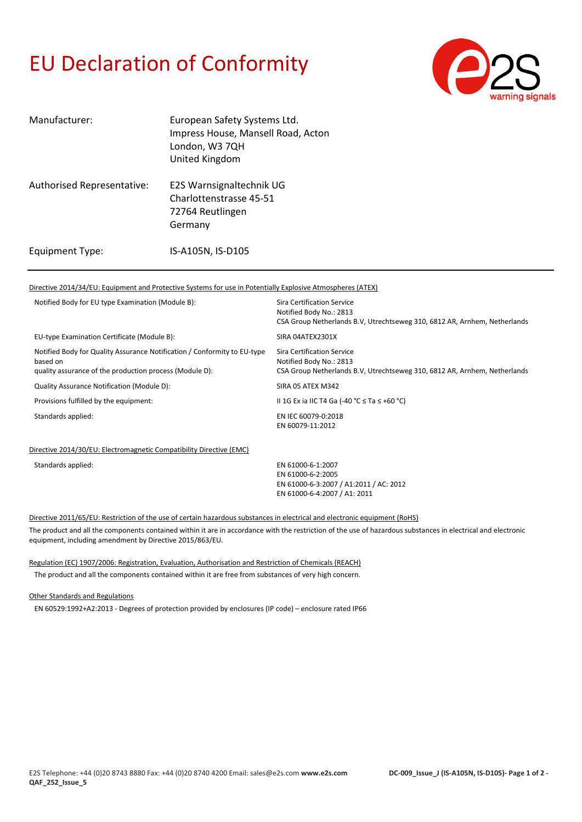## EU Declaration of Conformity



| Manufacturer:              | European Safety Systems Ltd.<br>Impress House, Mansell Road, Acton<br>London, W3 7QH<br>United Kingdom |
|----------------------------|--------------------------------------------------------------------------------------------------------|
| Authorised Representative: | E2S Warnsignaltechnik UG<br>Charlottenstrasse 45-51<br>72764 Reutlingen<br>Germany                     |
| Equipment Type:            | IS-A105N, IS-D105                                                                                      |

#### Directive 2014/34/EU: Equipment and Protective Systems for use in Potentially Explosive Atmospheres (ATEX)

| Notified Body for EU type Examination (Module B):                                                                                               | Sira Certification Service<br>Notified Body No.: 2813<br>CSA Group Netherlands B.V. Utrechtseweg 310, 6812 AR, Arnhem, Netherlands |
|-------------------------------------------------------------------------------------------------------------------------------------------------|------------------------------------------------------------------------------------------------------------------------------------|
| EU-type Examination Certificate (Module B):                                                                                                     | SIRA 04ATEX2301X                                                                                                                   |
| Notified Body for Quality Assurance Notification / Conformity to EU-type<br>based on<br>quality assurance of the production process (Module D): | Sira Certification Service<br>Notified Body No.: 2813<br>CSA Group Netherlands B.V. Utrechtseweg 310, 6812 AR, Arnhem, Netherlands |
| Quality Assurance Notification (Module D):                                                                                                      | SIRA 05 ATEX M342                                                                                                                  |
| Provisions fulfilled by the equipment:                                                                                                          | II 1G Ex ia IIC T4 Ga (-40 °C $\leq$ Ta $\leq$ +60 °C)                                                                             |
| Standards applied:                                                                                                                              | EN IEC 60079-0:2018<br>EN 60079-11:2012                                                                                            |
|                                                                                                                                                 |                                                                                                                                    |

#### Directive 2014/30/EU: Electromagnetic Compatibility Directive (EMC)

Standards applied: EN 61000-6-1:2007

EN 61000-6-2:2005 EN 61000-6-3:2007 / A1:2011 / AC: 2012 EN 61000-6-4:2007 / A1: 2011

Directive 2011/65/EU: Restriction of the use of certain hazardous substances in electrical and electronic equipment (RoHS)

The product and all the components contained within it are in accordance with the restriction of the use of hazardous substances in electrical and electronic equipment, including amendment by Directive 2015/863/EU.

### Regulation (EC) 1907/2006: Registration, Evaluation, Authorisation and Restriction of Chemicals (REACH)

The product and all the components contained within it are free from substances of very high concern.

#### Other Standards and Regulations

EN 60529:1992+A2:2013 - Degrees of protection provided by enclosures (IP code) – enclosure rated IP66